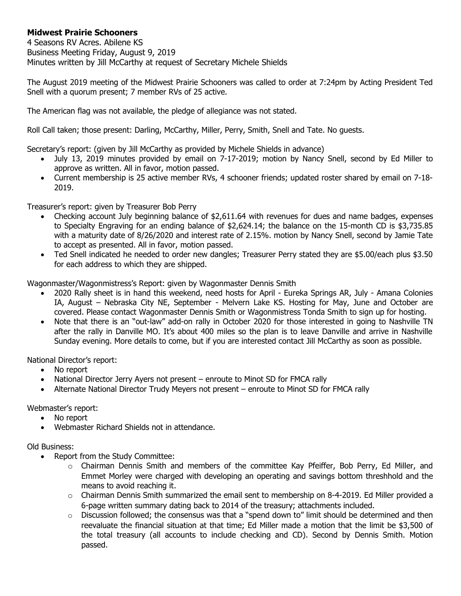## **Midwest Prairie Schooners**

4 Seasons RV Acres. Abilene KS Business Meeting Friday, August 9, 2019 Minutes written by Jill McCarthy at request of Secretary Michele Shields

The August 2019 meeting of the Midwest Prairie Schooners was called to order at 7:24pm by Acting President Ted Snell with a quorum present; 7 member RVs of 25 active.

The American flag was not available, the pledge of allegiance was not stated.

Roll Call taken; those present: Darling, McCarthy, Miller, Perry, Smith, Snell and Tate. No guests.

Secretary's report: (given by Jill McCarthy as provided by Michele Shields in advance)

- July 13, 2019 minutes provided by email on 7-17-2019; motion by Nancy Snell, second by Ed Miller to approve as written. All in favor, motion passed.
- Current membership is 25 active member RVs, 4 schooner friends; updated roster shared by email on 7-18- 2019.

Treasurer's report: given by Treasurer Bob Perry

- Checking account July beginning balance of \$2,611.64 with revenues for dues and name badges, expenses to Specialty Engraving for an ending balance of \$2,624.14; the balance on the 15-month CD is \$3,735.85 with a maturity date of 8/26/2020 and interest rate of 2.15%. motion by Nancy Snell, second by Jamie Tate to accept as presented. All in favor, motion passed.
- Ted Snell indicated he needed to order new dangles; Treasurer Perry stated they are \$5.00/each plus \$3.50 for each address to which they are shipped.

Wagonmaster/Wagonmistress's Report: given by Wagonmaster Dennis Smith

- 2020 Rally sheet is in hand this weekend, need hosts for April Eureka Springs AR, July Amana Colonies IA, August – Nebraska City NE, September - Melvern Lake KS. Hosting for May, June and October are covered. Please contact Wagonmaster Dennis Smith or Wagonmistress Tonda Smith to sign up for hosting.
- Note that there is an "out-law" add-on rally in October 2020 for those interested in going to Nashville TN after the rally in Danville MO. It's about 400 miles so the plan is to leave Danville and arrive in Nashville Sunday evening. More details to come, but if you are interested contact Jill McCarthy as soon as possible.

National Director's report:

- No report
- National Director Jerry Ayers not present enroute to Minot SD for FMCA rally
- Alternate National Director Trudy Meyers not present enroute to Minot SD for FMCA rally

Webmaster's report:

- No report
- Webmaster Richard Shields not in attendance.

## Old Business:

- Report from the Study Committee:
	- $\circ$  Chairman Dennis Smith and members of the committee Kay Pfeiffer, Bob Perry, Ed Miller, and Emmet Morley were charged with developing an operating and savings bottom threshhold and the means to avoid reaching it.
	- $\circ$  Chairman Dennis Smith summarized the email sent to membership on 8-4-2019. Ed Miller provided a 6-page written summary dating back to 2014 of the treasury; attachments included.
	- $\circ$  Discussion followed; the consensus was that a "spend down to" limit should be determined and then reevaluate the financial situation at that time; Ed Miller made a motion that the limit be \$3,500 of the total treasury (all accounts to include checking and CD). Second by Dennis Smith. Motion passed.